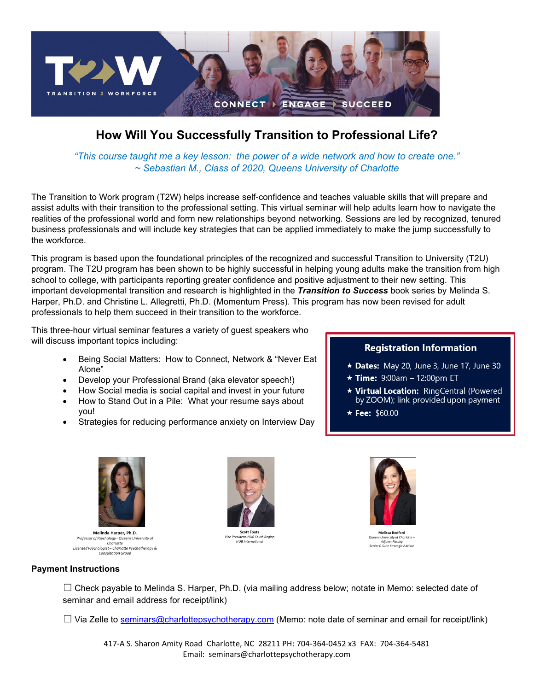

## **How Will You Successfully Transition to Professional Life?**

*"This course taught me a key lesson: the power of a wide network and how to create one." ~ Sebastian M., Class of 2020, Queens University of Charlotte*

The Transition to Work program (T2W) helps increase self-confidence and teaches valuable skills that will prepare and assist adults with their transition to the professional setting. This virtual seminar will help adults learn how to navigate the realities of the professional world and form new relationships beyond networking. Sessions are led by recognized, tenured business professionals and will include key strategies that can be applied immediately to make the jump successfully to the workforce.

This program is based upon the foundational principles of the recognized and successful Transition to University (T2U) program. The T2U program has been shown to be highly successful in helping young adults make the transition from high school to college, with participants reporting greater confidence and positive adjustment to their new setting. This important developmental transition and research is highlighted in the *Transition to Success* book series by Melinda S. Harper, Ph.D. and Christine L. Allegretti, Ph.D. (Momentum Press). This program has now been revised for adult professionals to help them succeed in their transition to the workforce.

This three-hour virtual seminar features a variety of guest speakers who will discuss important topics including:

- Being Social Matters: How to Connect, Network & "Never Eat Alone"
- Develop your Professional Brand (aka elevator speech!)
- How Social media is social capital and invest in your future
- How to Stand Out in a Pile: What your resume says about you!
- Strategies for reducing performance anxiety on Interview Day

### **Registration Information**

- \* Dates: May 20, June 3, June 17, June 30
- $\star$  Time: 9:00am 12:00pm ET
- ★ Virtual Location: RingCentral (Powered by ZOOM); link provided upon payment
- $\star$  Fee: \$60.00



Melinda Harper, Ph.D. **Professor of Psychology - Queens University of<br>Professor of Psychology - Queens University of<br>Charlotte**<br>Consultation Group<br>Consultation Group



Scott Fouts<br>Vice President, HUB Sou<br>HUB Internation



Melissa Bodford .<br>- Queens University of Charlotte<br>- Senior C-Suite Strategic Advisor

#### **Payment Instructions**

 $\Box$  Check payable to Melinda S. Harper, Ph.D. (via mailing address below; notate in Memo: selected date of seminar and email address for receipt/link)

 $\Box$  Via Zelle to [seminars@charlottepsychotherapy.com](mailto:seminars@charlottepsychotherapy.com) (Memo: note date of seminar and email for receipt/link)